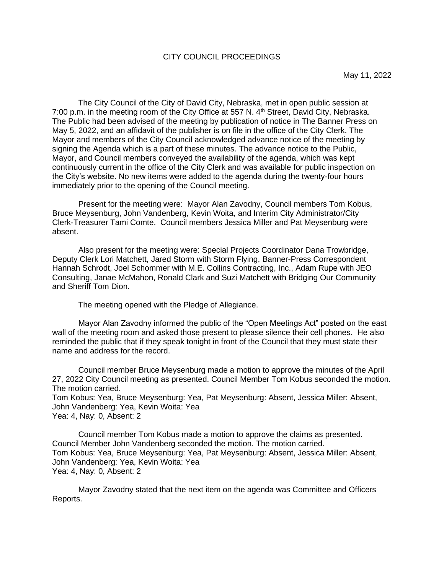#### CITY COUNCIL PROCEEDINGS

The City Council of the City of David City, Nebraska, met in open public session at 7:00 p.m. in the meeting room of the City Office at 557 N. 4<sup>th</sup> Street, David City, Nebraska. The Public had been advised of the meeting by publication of notice in The Banner Press on May 5, 2022, and an affidavit of the publisher is on file in the office of the City Clerk. The Mayor and members of the City Council acknowledged advance notice of the meeting by signing the Agenda which is a part of these minutes. The advance notice to the Public, Mayor, and Council members conveyed the availability of the agenda, which was kept continuously current in the office of the City Clerk and was available for public inspection on the City's website. No new items were added to the agenda during the twenty-four hours immediately prior to the opening of the Council meeting.

Present for the meeting were: Mayor Alan Zavodny, Council members Tom Kobus, Bruce Meysenburg, John Vandenberg, Kevin Woita, and Interim City Administrator/City Clerk-Treasurer Tami Comte. Council members Jessica Miller and Pat Meysenburg were absent.

Also present for the meeting were: Special Projects Coordinator Dana Trowbridge, Deputy Clerk Lori Matchett, Jared Storm with Storm Flying, Banner-Press Correspondent Hannah Schrodt, Joel Schommer with M.E. Collins Contracting, Inc., Adam Rupe with JEO Consulting, Janae McMahon, Ronald Clark and Suzi Matchett with Bridging Our Community and Sheriff Tom Dion.

The meeting opened with the Pledge of Allegiance.

Mayor Alan Zavodny informed the public of the "Open Meetings Act" posted on the east wall of the meeting room and asked those present to please silence their cell phones. He also reminded the public that if they speak tonight in front of the Council that they must state their name and address for the record.

Council member Bruce Meysenburg made a motion to approve the minutes of the April 27, 2022 City Council meeting as presented. Council Member Tom Kobus seconded the motion. The motion carried. Tom Kobus: Yea, Bruce Meysenburg: Yea, Pat Meysenburg: Absent, Jessica Miller: Absent, John Vandenberg: Yea, Kevin Woita: Yea Yea: 4, Nay: 0, Absent: 2

Council member Tom Kobus made a motion to approve the claims as presented. Council Member John Vandenberg seconded the motion. The motion carried. Tom Kobus: Yea, Bruce Meysenburg: Yea, Pat Meysenburg: Absent, Jessica Miller: Absent, John Vandenberg: Yea, Kevin Woita: Yea Yea: 4, Nay: 0, Absent: 2

Mayor Zavodny stated that the next item on the agenda was Committee and Officers Reports.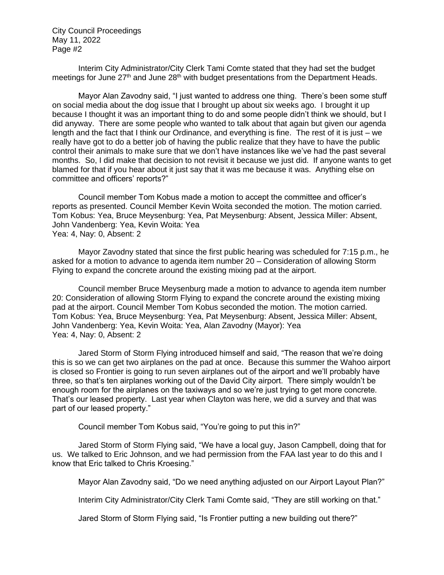Interim City Administrator/City Clerk Tami Comte stated that they had set the budget meetings for June 27<sup>th</sup> and June 28<sup>th</sup> with budget presentations from the Department Heads.

Mayor Alan Zavodny said, "I just wanted to address one thing. There's been some stuff on social media about the dog issue that I brought up about six weeks ago. I brought it up because I thought it was an important thing to do and some people didn't think we should, but I did anyway. There are some people who wanted to talk about that again but given our agenda length and the fact that I think our Ordinance, and everything is fine. The rest of it is just – we really have got to do a better job of having the public realize that they have to have the public control their animals to make sure that we don't have instances like we've had the past several months. So, I did make that decision to not revisit it because we just did. If anyone wants to get blamed for that if you hear about it just say that it was me because it was. Anything else on committee and officers' reports?"

Council member Tom Kobus made a motion to accept the committee and officer's reports as presented. Council Member Kevin Woita seconded the motion. The motion carried. Tom Kobus: Yea, Bruce Meysenburg: Yea, Pat Meysenburg: Absent, Jessica Miller: Absent, John Vandenberg: Yea, Kevin Woita: Yea Yea: 4, Nay: 0, Absent: 2

Mayor Zavodny stated that since the first public hearing was scheduled for 7:15 p.m., he asked for a motion to advance to agenda item number 20 – Consideration of allowing Storm Flying to expand the concrete around the existing mixing pad at the airport.

Council member Bruce Meysenburg made a motion to advance to agenda item number 20: Consideration of allowing Storm Flying to expand the concrete around the existing mixing pad at the airport. Council Member Tom Kobus seconded the motion. The motion carried. Tom Kobus: Yea, Bruce Meysenburg: Yea, Pat Meysenburg: Absent, Jessica Miller: Absent, John Vandenberg: Yea, Kevin Woita: Yea, Alan Zavodny (Mayor): Yea Yea: 4, Nay: 0, Absent: 2

Jared Storm of Storm Flying introduced himself and said, "The reason that we're doing this is so we can get two airplanes on the pad at once. Because this summer the Wahoo airport is closed so Frontier is going to run seven airplanes out of the airport and we'll probably have three, so that's ten airplanes working out of the David City airport. There simply wouldn't be enough room for the airplanes on the taxiways and so we're just trying to get more concrete. That's our leased property. Last year when Clayton was here, we did a survey and that was part of our leased property."

Council member Tom Kobus said, "You're going to put this in?"

Jared Storm of Storm Flying said, "We have a local guy, Jason Campbell, doing that for us. We talked to Eric Johnson, and we had permission from the FAA last year to do this and I know that Eric talked to Chris Kroesing."

Mayor Alan Zavodny said, "Do we need anything adjusted on our Airport Layout Plan?"

Interim City Administrator/City Clerk Tami Comte said, "They are still working on that."

Jared Storm of Storm Flying said, "Is Frontier putting a new building out there?"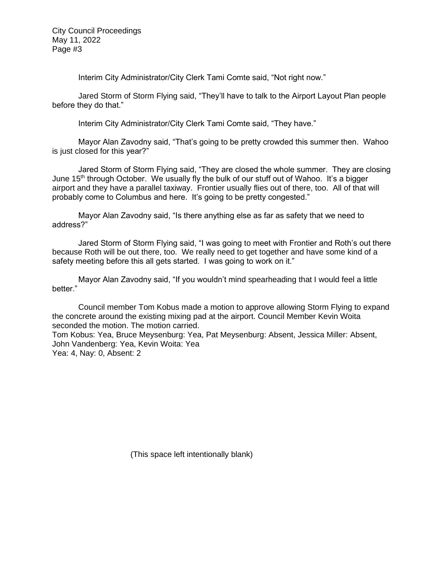Interim City Administrator/City Clerk Tami Comte said, "Not right now."

Jared Storm of Storm Flying said, "They'll have to talk to the Airport Layout Plan people before they do that."

Interim City Administrator/City Clerk Tami Comte said, "They have."

Mayor Alan Zavodny said, "That's going to be pretty crowded this summer then. Wahoo is just closed for this year?"

Jared Storm of Storm Flying said, "They are closed the whole summer. They are closing June 15th through October. We usually fly the bulk of our stuff out of Wahoo. It's a bigger airport and they have a parallel taxiway. Frontier usually flies out of there, too. All of that will probably come to Columbus and here. It's going to be pretty congested."

Mayor Alan Zavodny said, "Is there anything else as far as safety that we need to address?"

Jared Storm of Storm Flying said, "I was going to meet with Frontier and Roth's out there because Roth will be out there, too. We really need to get together and have some kind of a safety meeting before this all gets started. I was going to work on it."

Mayor Alan Zavodny said, "If you wouldn't mind spearheading that I would feel a little better."

Council member Tom Kobus made a motion to approve allowing Storm Flying to expand the concrete around the existing mixing pad at the airport. Council Member Kevin Woita seconded the motion. The motion carried.

Tom Kobus: Yea, Bruce Meysenburg: Yea, Pat Meysenburg: Absent, Jessica Miller: Absent, John Vandenberg: Yea, Kevin Woita: Yea

Yea: 4, Nay: 0, Absent: 2

(This space left intentionally blank)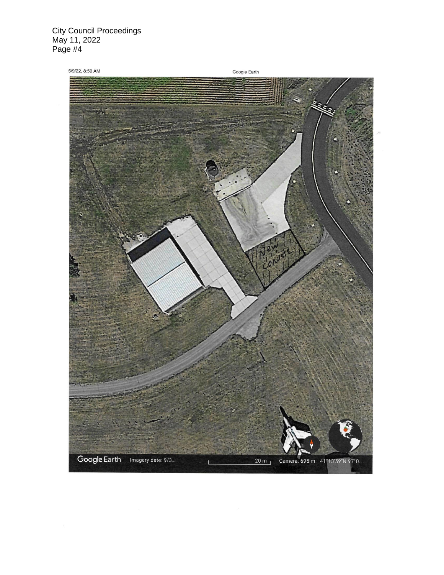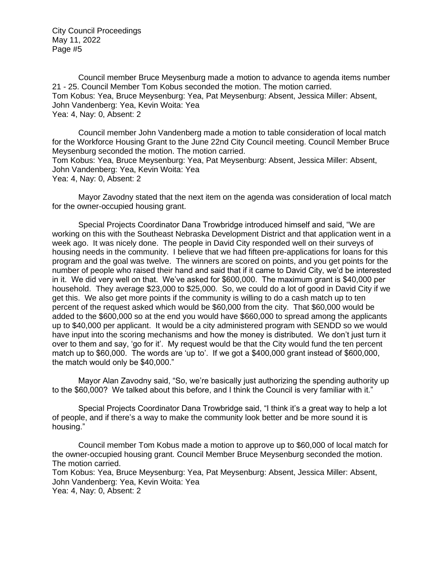Council member Bruce Meysenburg made a motion to advance to agenda items number 21 - 25. Council Member Tom Kobus seconded the motion. The motion carried. Tom Kobus: Yea, Bruce Meysenburg: Yea, Pat Meysenburg: Absent, Jessica Miller: Absent, John Vandenberg: Yea, Kevin Woita: Yea Yea: 4, Nay: 0, Absent: 2

Council member John Vandenberg made a motion to table consideration of local match for the Workforce Housing Grant to the June 22nd City Council meeting. Council Member Bruce Meysenburg seconded the motion. The motion carried. Tom Kobus: Yea, Bruce Meysenburg: Yea, Pat Meysenburg: Absent, Jessica Miller: Absent, John Vandenberg: Yea, Kevin Woita: Yea Yea: 4, Nay: 0, Absent: 2

Mayor Zavodny stated that the next item on the agenda was consideration of local match for the owner-occupied housing grant.

Special Projects Coordinator Dana Trowbridge introduced himself and said, "We are working on this with the Southeast Nebraska Development District and that application went in a week ago. It was nicely done. The people in David City responded well on their surveys of housing needs in the community. I believe that we had fifteen pre-applications for loans for this program and the goal was twelve. The winners are scored on points, and you get points for the number of people who raised their hand and said that if it came to David City, we'd be interested in it. We did very well on that. We've asked for \$600,000. The maximum grant is \$40,000 per household. They average \$23,000 to \$25,000. So, we could do a lot of good in David City if we get this. We also get more points if the community is willing to do a cash match up to ten percent of the request asked which would be \$60,000 from the city. That \$60,000 would be added to the \$600,000 so at the end you would have \$660,000 to spread among the applicants up to \$40,000 per applicant. It would be a city administered program with SENDD so we would have input into the scoring mechanisms and how the money is distributed. We don't just turn it over to them and say, 'go for it'. My request would be that the City would fund the ten percent match up to \$60,000. The words are 'up to'. If we got a \$400,000 grant instead of \$600,000, the match would only be \$40,000."

Mayor Alan Zavodny said, "So, we're basically just authorizing the spending authority up to the \$60,000? We talked about this before, and I think the Council is very familiar with it."

Special Projects Coordinator Dana Trowbridge said, "I think it's a great way to help a lot of people, and if there's a way to make the community look better and be more sound it is housing."

Council member Tom Kobus made a motion to approve up to \$60,000 of local match for the owner-occupied housing grant. Council Member Bruce Meysenburg seconded the motion. The motion carried.

Tom Kobus: Yea, Bruce Meysenburg: Yea, Pat Meysenburg: Absent, Jessica Miller: Absent, John Vandenberg: Yea, Kevin Woita: Yea Yea: 4, Nay: 0, Absent: 2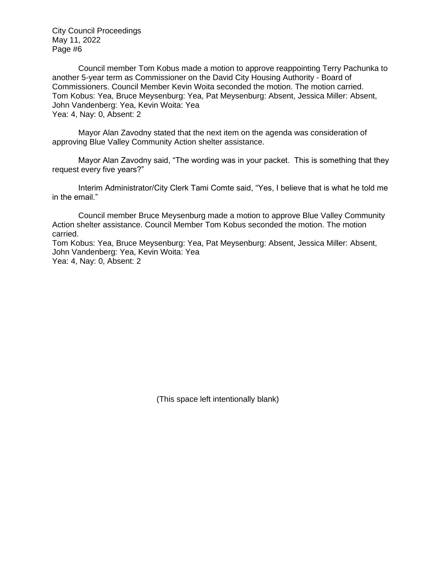Council member Tom Kobus made a motion to approve reappointing Terry Pachunka to another 5-year term as Commissioner on the David City Housing Authority - Board of Commissioners. Council Member Kevin Woita seconded the motion. The motion carried. Tom Kobus: Yea, Bruce Meysenburg: Yea, Pat Meysenburg: Absent, Jessica Miller: Absent, John Vandenberg: Yea, Kevin Woita: Yea Yea: 4, Nay: 0, Absent: 2

Mayor Alan Zavodny stated that the next item on the agenda was consideration of approving Blue Valley Community Action shelter assistance.

Mayor Alan Zavodny said, "The wording was in your packet. This is something that they request every five years?"

Interim Administrator/City Clerk Tami Comte said, "Yes, I believe that is what he told me in the email."

Council member Bruce Meysenburg made a motion to approve Blue Valley Community Action shelter assistance. Council Member Tom Kobus seconded the motion. The motion carried.

Tom Kobus: Yea, Bruce Meysenburg: Yea, Pat Meysenburg: Absent, Jessica Miller: Absent, John Vandenberg: Yea, Kevin Woita: Yea Yea: 4, Nay: 0, Absent: 2

(This space left intentionally blank)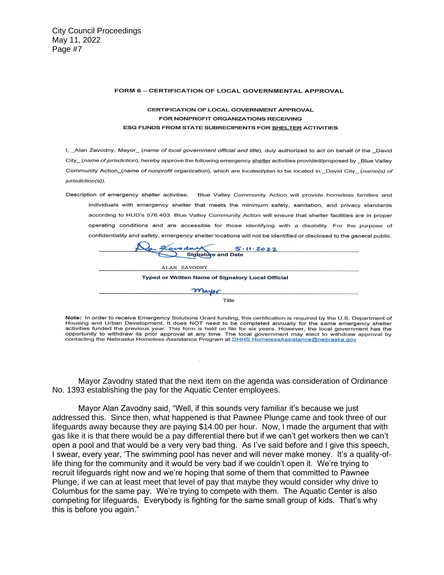#### FORM 6 - CERTIFICATION OF LOCAL GOVERNMENTAL APPROVAL

#### CERTIFICATION OF LOCAL GOVERNMENT APPROVAL FOR NONPROFIT ORGANIZATIONS RECEIVING ESG FUNDS FROM STATE SUBRECIPIENTS FOR SHELTER ACTIVITIES

I, \_Alan Zavodny, Mayor\_ (name of local government official and title), duly authorized to act on behalf of the David City\_(name of jurisdiction), hereby approve the following emergency shelter activities provided/proposed by \_Blue Valley Community Action\_(name of nonprofit organization), which are located/plan to be located in \_David City\_(name(s) of jurisdiction(s)).

Description of emergency shelter activities: Blue Valley Community Action will provide homeless families and individuals with emergency shelter that meets the minimum safety, sanitation, and privacy standards according to HUD's 576.403. Blue Valley Community Action will ensure that shelter facilities are in proper operating conditions and are accessible for those identifying with a disability. For the purpose of confidentiality and safety, emergency shelter locations will not be identified or disclosed to the general public.

| Zavodny<br>5.11.2022<br>$\sim$<br><b>Sighature and Date</b> |  |
|-------------------------------------------------------------|--|
| ALAN ZAVODNY                                                |  |
| <b>Typed or Written Name of Signatory Local Official</b>    |  |
| mayor                                                       |  |
| <b>Title</b>                                                |  |

Note: In order to receive Emergency Solutions Grant funding, this certification is required by the U.S. Department of Housing and Urban Development. It does NOT need to be completed annually for the same emergency shelter<br>activities funded the previous year. This form is held on file for six years. However, the local government has the opportunity to withdraw its prior approval at any time. The local government may elect to withdraw approval by contacting the Nebraska Homeless Assistance Program at DHHS. HomelessAssistance@nebraska.gov

Mayor Zavodny stated that the next item on the agenda was consideration of Ordinance No. 1393 establishing the pay for the Aquatic Center employees.

Mayor Alan Zavodny said, "Well, if this sounds very familiar it's because we just addressed this. Since then, what happened is that Pawnee Plunge came and took three of our lifeguards away because they are paying \$14.00 per hour. Now, I made the argument that with gas like it is that there would be a pay differential there but if we can't get workers then we can't open a pool and that would be a very very bad thing. As I've said before and I give this speech, I swear, every year, 'The swimming pool has never and will never make money. It's a quality-oflife thing for the community and it would be very bad if we couldn't open it. We're trying to recruit lifeguards right now and we're hoping that some of them that committed to Pawnee Plunge, if we can at least meet that level of pay that maybe they would consider why drive to Columbus for the same pay. We're trying to compete with them. The Aquatic Center is also competing for lifeguards. Everybody is fighting for the same small group of kids. That's why this is before you again."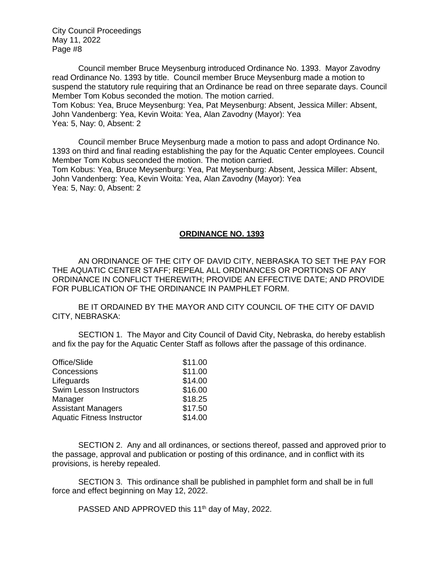Council member Bruce Meysenburg introduced Ordinance No. 1393. Mayor Zavodny read Ordinance No. 1393 by title. Council member Bruce Meysenburg made a motion to suspend the statutory rule requiring that an Ordinance be read on three separate days. Council Member Tom Kobus seconded the motion. The motion carried. Tom Kobus: Yea, Bruce Meysenburg: Yea, Pat Meysenburg: Absent, Jessica Miller: Absent, John Vandenberg: Yea, Kevin Woita: Yea, Alan Zavodny (Mayor): Yea Yea: 5, Nay: 0, Absent: 2

Council member Bruce Meysenburg made a motion to pass and adopt Ordinance No. 1393 on third and final reading establishing the pay for the Aquatic Center employees. Council Member Tom Kobus seconded the motion. The motion carried. Tom Kobus: Yea, Bruce Meysenburg: Yea, Pat Meysenburg: Absent, Jessica Miller: Absent, John Vandenberg: Yea, Kevin Woita: Yea, Alan Zavodny (Mayor): Yea Yea: 5, Nay: 0, Absent: 2

#### **ORDINANCE NO. 1393**

AN ORDINANCE OF THE CITY OF DAVID CITY, NEBRASKA TO SET THE PAY FOR THE AQUATIC CENTER STAFF; REPEAL ALL ORDINANCES OR PORTIONS OF ANY ORDINANCE IN CONFLICT THEREWITH; PROVIDE AN EFFECTIVE DATE; AND PROVIDE FOR PUBLICATION OF THE ORDINANCE IN PAMPHLET FORM.

BE IT ORDAINED BY THE MAYOR AND CITY COUNCIL OF THE CITY OF DAVID CITY, NEBRASKA:

SECTION 1. The Mayor and City Council of David City, Nebraska, do hereby establish and fix the pay for the Aquatic Center Staff as follows after the passage of this ordinance.

| Office/Slide                      | \$11.00 |
|-----------------------------------|---------|
| Concessions                       | \$11.00 |
| Lifeguards                        | \$14.00 |
| Swim Lesson Instructors           | \$16.00 |
| Manager                           | \$18.25 |
| <b>Assistant Managers</b>         | \$17.50 |
| <b>Aquatic Fitness Instructor</b> | \$14.00 |

SECTION 2. Any and all ordinances, or sections thereof, passed and approved prior to the passage, approval and publication or posting of this ordinance, and in conflict with its provisions, is hereby repealed.

SECTION 3. This ordinance shall be published in pamphlet form and shall be in full force and effect beginning on May 12, 2022.

PASSED AND APPROVED this 11<sup>th</sup> day of May, 2022.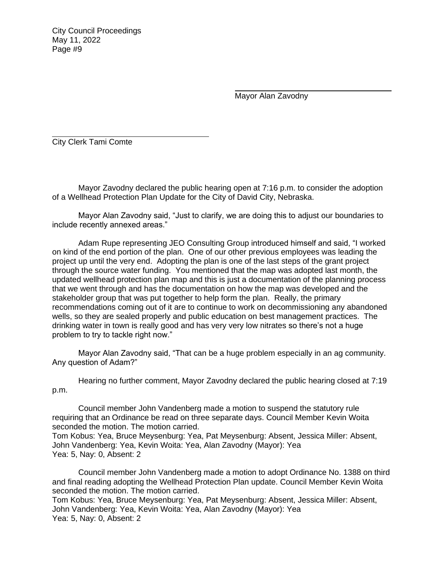Mayor Alan Zavodny

City Clerk Tami Comte

Mayor Zavodny declared the public hearing open at 7:16 p.m. to consider the adoption of a Wellhead Protection Plan Update for the City of David City, Nebraska.

Mayor Alan Zavodny said, "Just to clarify, we are doing this to adjust our boundaries to include recently annexed areas."

Adam Rupe representing JEO Consulting Group introduced himself and said, "I worked on kind of the end portion of the plan. One of our other previous employees was leading the project up until the very end. Adopting the plan is one of the last steps of the grant project through the source water funding. You mentioned that the map was adopted last month, the updated wellhead protection plan map and this is just a documentation of the planning process that we went through and has the documentation on how the map was developed and the stakeholder group that was put together to help form the plan. Really, the primary recommendations coming out of it are to continue to work on decommissioning any abandoned wells, so they are sealed properly and public education on best management practices. The drinking water in town is really good and has very very low nitrates so there's not a huge problem to try to tackle right now."

Mayor Alan Zavodny said, "That can be a huge problem especially in an ag community. Any question of Adam?"

Hearing no further comment, Mayor Zavodny declared the public hearing closed at 7:19 p.m.

Council member John Vandenberg made a motion to suspend the statutory rule requiring that an Ordinance be read on three separate days. Council Member Kevin Woita seconded the motion. The motion carried.

Tom Kobus: Yea, Bruce Meysenburg: Yea, Pat Meysenburg: Absent, Jessica Miller: Absent, John Vandenberg: Yea, Kevin Woita: Yea, Alan Zavodny (Mayor): Yea Yea: 5, Nay: 0, Absent: 2

Council member John Vandenberg made a motion to adopt Ordinance No. 1388 on third and final reading adopting the Wellhead Protection Plan update. Council Member Kevin Woita seconded the motion. The motion carried. Tom Kobus: Yea, Bruce Meysenburg: Yea, Pat Meysenburg: Absent, Jessica Miller: Absent,

John Vandenberg: Yea, Kevin Woita: Yea, Alan Zavodny (Mayor): Yea Yea: 5, Nay: 0, Absent: 2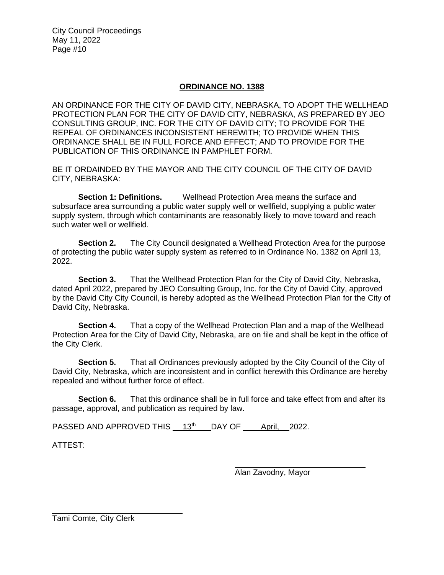# **ORDINANCE NO. 1388**

AN ORDINANCE FOR THE CITY OF DAVID CITY, NEBRASKA, TO ADOPT THE WELLHEAD PROTECTION PLAN FOR THE CITY OF DAVID CITY, NEBRASKA, AS PREPARED BY JEO CONSULTING GROUP, INC. FOR THE CITY OF DAVID CITY; TO PROVIDE FOR THE REPEAL OF ORDINANCES INCONSISTENT HEREWITH; TO PROVIDE WHEN THIS ORDINANCE SHALL BE IN FULL FORCE AND EFFECT; AND TO PROVIDE FOR THE PUBLICATION OF THIS ORDINANCE IN PAMPHLET FORM.

BE IT ORDAINDED BY THE MAYOR AND THE CITY COUNCIL OF THE CITY OF DAVID CITY, NEBRASKA:

**Section 1: Definitions.** Wellhead Protection Area means the surface and subsurface area surrounding a public water supply well or wellfield, supplying a public water supply system, through which contaminants are reasonably likely to move toward and reach such water well or wellfield.

**Section 2.** The City Council designated a Wellhead Protection Area for the purpose of protecting the public water supply system as referred to in Ordinance No. 1382 on April 13, 2022.

**Section 3.** That the Wellhead Protection Plan for the City of David City, Nebraska, dated April 2022, prepared by JEO Consulting Group, Inc. for the City of David City, approved by the David City City Council, is hereby adopted as the Wellhead Protection Plan for the City of David City, Nebraska.

**Section 4.** That a copy of the Wellhead Protection Plan and a map of the Wellhead Protection Area for the City of David City, Nebraska, are on file and shall be kept in the office of the City Clerk.

**Section 5.** That all Ordinances previously adopted by the City Council of the City of David City, Nebraska, which are inconsistent and in conflict herewith this Ordinance are hereby repealed and without further force of effect.

**Section 6.** That this ordinance shall be in full force and take effect from and after its passage, approval, and publication as required by law.

PASSED AND APPROVED THIS 13th DAY OF April, 2022.

ATTEST:

Alan Zavodny, Mayor

Tami Comte, City Clerk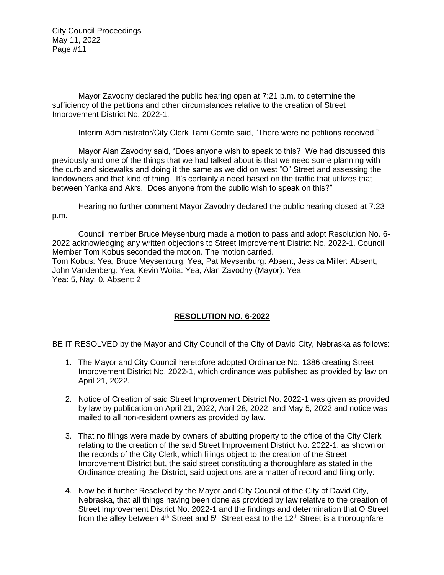Mayor Zavodny declared the public hearing open at 7:21 p.m. to determine the sufficiency of the petitions and other circumstances relative to the creation of Street Improvement District No. 2022-1.

Interim Administrator/City Clerk Tami Comte said, "There were no petitions received."

Mayor Alan Zavodny said, "Does anyone wish to speak to this? We had discussed this previously and one of the things that we had talked about is that we need some planning with the curb and sidewalks and doing it the same as we did on west "O" Street and assessing the landowners and that kind of thing. It's certainly a need based on the traffic that utilizes that between Yanka and Akrs. Does anyone from the public wish to speak on this?"

Hearing no further comment Mayor Zavodny declared the public hearing closed at 7:23 p.m.

Council member Bruce Meysenburg made a motion to pass and adopt Resolution No. 6- 2022 acknowledging any written objections to Street Improvement District No. 2022-1. Council Member Tom Kobus seconded the motion. The motion carried. Tom Kobus: Yea, Bruce Meysenburg: Yea, Pat Meysenburg: Absent, Jessica Miller: Absent, John Vandenberg: Yea, Kevin Woita: Yea, Alan Zavodny (Mayor): Yea Yea: 5, Nay: 0, Absent: 2

# **RESOLUTION NO. 6-2022**

BE IT RESOLVED by the Mayor and City Council of the City of David City, Nebraska as follows:

- 1. The Mayor and City Council heretofore adopted Ordinance No. 1386 creating Street Improvement District No. 2022-1, which ordinance was published as provided by law on April 21, 2022.
- 2. Notice of Creation of said Street Improvement District No. 2022-1 was given as provided by law by publication on April 21, 2022, April 28, 2022, and May 5, 2022 and notice was mailed to all non-resident owners as provided by law.
- 3. That no filings were made by owners of abutting property to the office of the City Clerk relating to the creation of the said Street Improvement District No. 2022-1, as shown on the records of the City Clerk, which filings object to the creation of the Street Improvement District but, the said street constituting a thoroughfare as stated in the Ordinance creating the District, said objections are a matter of record and filing only:
- 4. Now be it further Resolved by the Mayor and City Council of the City of David City, Nebraska, that all things having been done as provided by law relative to the creation of Street Improvement District No. 2022-1 and the findings and determination that O Street from the alley between  $4<sup>th</sup>$  Street and  $5<sup>th</sup>$  Street east to the 12<sup>th</sup> Street is a thoroughfare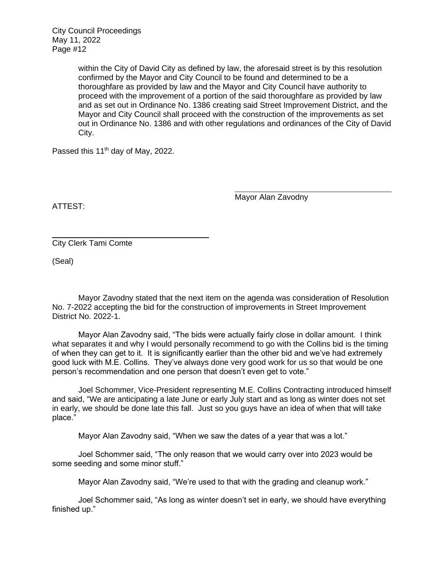> within the City of David City as defined by law, the aforesaid street is by this resolution confirmed by the Mayor and City Council to be found and determined to be a thoroughfare as provided by law and the Mayor and City Council have authority to proceed with the improvement of a portion of the said thoroughfare as provided by law and as set out in Ordinance No. 1386 creating said Street Improvement District, and the Mayor and City Council shall proceed with the construction of the improvements as set out in Ordinance No. 1386 and with other regulations and ordinances of the City of David City.

Passed this 11<sup>th</sup> day of May, 2022.

Mayor Alan Zavodny

ATTEST:

City Clerk Tami Comte

(Seal)

Mayor Zavodny stated that the next item on the agenda was consideration of Resolution No. 7-2022 accepting the bid for the construction of improvements in Street Improvement District No. 2022-1.

Mayor Alan Zavodny said, "The bids were actually fairly close in dollar amount. I think what separates it and why I would personally recommend to go with the Collins bid is the timing of when they can get to it. It is significantly earlier than the other bid and we've had extremely good luck with M.E. Collins. They've always done very good work for us so that would be one person's recommendation and one person that doesn't even get to vote."

Joel Schommer, Vice-President representing M.E. Collins Contracting introduced himself and said, "We are anticipating a late June or early July start and as long as winter does not set in early, we should be done late this fall. Just so you guys have an idea of when that will take place."

Mayor Alan Zavodny said, "When we saw the dates of a year that was a lot."

Joel Schommer said, "The only reason that we would carry over into 2023 would be some seeding and some minor stuff."

Mayor Alan Zavodny said, "We're used to that with the grading and cleanup work."

Joel Schommer said, "As long as winter doesn't set in early, we should have everything finished up."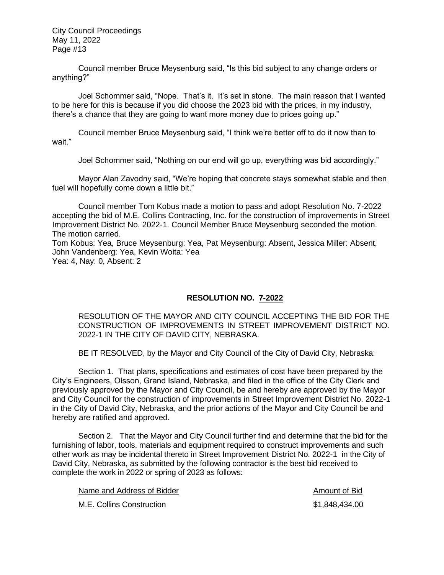Council member Bruce Meysenburg said, "Is this bid subject to any change orders or anything?"

Joel Schommer said, "Nope. That's it. It's set in stone. The main reason that I wanted to be here for this is because if you did choose the 2023 bid with the prices, in my industry, there's a chance that they are going to want more money due to prices going up."

Council member Bruce Meysenburg said, "I think we're better off to do it now than to wait."

Joel Schommer said, "Nothing on our end will go up, everything was bid accordingly."

Mayor Alan Zavodny said, "We're hoping that concrete stays somewhat stable and then fuel will hopefully come down a little bit."

Council member Tom Kobus made a motion to pass and adopt Resolution No. 7-2022 accepting the bid of M.E. Collins Contracting, Inc. for the construction of improvements in Street Improvement District No. 2022-1. Council Member Bruce Meysenburg seconded the motion. The motion carried.

Tom Kobus: Yea, Bruce Meysenburg: Yea, Pat Meysenburg: Absent, Jessica Miller: Absent, John Vandenberg: Yea, Kevin Woita: Yea Yea: 4, Nay: 0, Absent: 2

# **RESOLUTION NO. 7-2022**

RESOLUTION OF THE MAYOR AND CITY COUNCIL ACCEPTING THE BID FOR THE CONSTRUCTION OF IMPROVEMENTS IN STREET IMPROVEMENT DISTRICT NO. 2022-1 IN THE CITY OF DAVID CITY, NEBRASKA.

BE IT RESOLVED, by the Mayor and City Council of the City of David City, Nebraska:

Section 1. That plans, specifications and estimates of cost have been prepared by the City's Engineers, Olsson, Grand Island, Nebraska, and filed in the office of the City Clerk and previously approved by the Mayor and City Council, be and hereby are approved by the Mayor and City Council for the construction of improvements in Street Improvement District No. 2022-1 in the City of David City, Nebraska, and the prior actions of the Mayor and City Council be and hereby are ratified and approved.

Section 2. That the Mayor and City Council further find and determine that the bid for the furnishing of labor, tools, materials and equipment required to construct improvements and such other work as may be incidental thereto in Street Improvement District No. 2022-1 in the City of David City, Nebraska, as submitted by the following contractor is the best bid received to complete the work in 2022 or spring of 2023 as follows:

Name and Address of Bidder Amount of Bid

M.E. Collins Construction **61,848,434.00 61,848,434.00**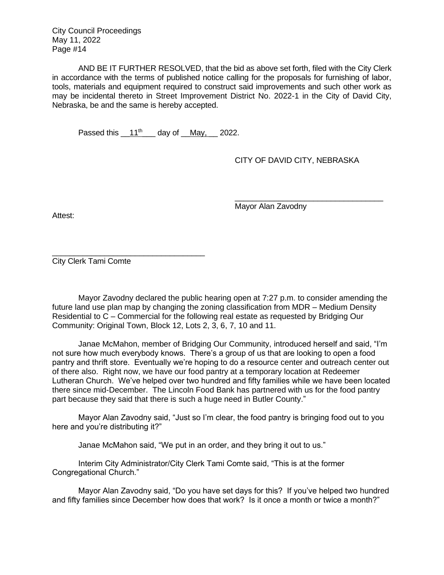AND BE IT FURTHER RESOLVED, that the bid as above set forth, filed with the City Clerk in accordance with the terms of published notice calling for the proposals for furnishing of labor, tools, materials and equipment required to construct said improvements and such other work as may be incidental thereto in Street Improvement District No. 2022-1 in the City of David City, Nebraska, be and the same is hereby accepted.

Passed this  $11^{th}$  day of May, 2022.

CITY OF DAVID CITY, NEBRASKA

\_\_\_\_\_\_\_\_\_\_\_\_\_\_\_\_\_\_\_\_\_\_\_\_\_\_\_\_\_\_\_\_\_\_

Mayor Alan Zavodny

Attest:

\_\_\_\_\_\_\_\_\_\_\_\_\_\_\_\_\_\_\_\_\_\_\_\_\_\_\_\_\_\_\_\_\_\_\_ City Clerk Tami Comte

Mayor Zavodny declared the public hearing open at 7:27 p.m. to consider amending the future land use plan map by changing the zoning classification from MDR – Medium Density Residential to C – Commercial for the following real estate as requested by Bridging Our Community: Original Town, Block 12, Lots 2, 3, 6, 7, 10 and 11.

Janae McMahon, member of Bridging Our Community, introduced herself and said, "I'm not sure how much everybody knows. There's a group of us that are looking to open a food pantry and thrift store. Eventually we're hoping to do a resource center and outreach center out of there also. Right now, we have our food pantry at a temporary location at Redeemer Lutheran Church. We've helped over two hundred and fifty families while we have been located there since mid-December. The Lincoln Food Bank has partnered with us for the food pantry part because they said that there is such a huge need in Butler County."

Mayor Alan Zavodny said, "Just so I'm clear, the food pantry is bringing food out to you here and you're distributing it?"

Janae McMahon said, "We put in an order, and they bring it out to us."

Interim City Administrator/City Clerk Tami Comte said, "This is at the former Congregational Church."

Mayor Alan Zavodny said, "Do you have set days for this? If you've helped two hundred and fifty families since December how does that work? Is it once a month or twice a month?"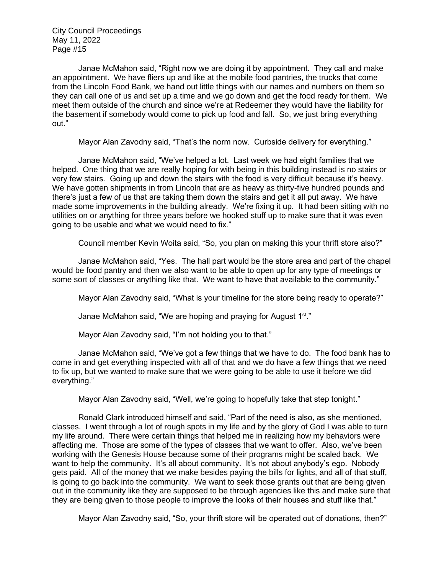Janae McMahon said, "Right now we are doing it by appointment. They call and make an appointment. We have fliers up and like at the mobile food pantries, the trucks that come from the Lincoln Food Bank, we hand out little things with our names and numbers on them so they can call one of us and set up a time and we go down and get the food ready for them. We meet them outside of the church and since we're at Redeemer they would have the liability for the basement if somebody would come to pick up food and fall. So, we just bring everything out."

Mayor Alan Zavodny said, "That's the norm now. Curbside delivery for everything."

Janae McMahon said, "We've helped a lot. Last week we had eight families that we helped. One thing that we are really hoping for with being in this building instead is no stairs or very few stairs. Going up and down the stairs with the food is very difficult because it's heavy. We have gotten shipments in from Lincoln that are as heavy as thirty-five hundred pounds and there's just a few of us that are taking them down the stairs and get it all put away. We have made some improvements in the building already. We're fixing it up. It had been sitting with no utilities on or anything for three years before we hooked stuff up to make sure that it was even going to be usable and what we would need to fix."

Council member Kevin Woita said, "So, you plan on making this your thrift store also?"

Janae McMahon said, "Yes. The hall part would be the store area and part of the chapel would be food pantry and then we also want to be able to open up for any type of meetings or some sort of classes or anything like that. We want to have that available to the community."

Mayor Alan Zavodny said, "What is your timeline for the store being ready to operate?"

Janae McMahon said, "We are hoping and praying for August 1<sup>st</sup>."

Mayor Alan Zavodny said, "I'm not holding you to that."

Janae McMahon said, "We've got a few things that we have to do. The food bank has to come in and get everything inspected with all of that and we do have a few things that we need to fix up, but we wanted to make sure that we were going to be able to use it before we did everything."

Mayor Alan Zavodny said, "Well, we're going to hopefully take that step tonight."

Ronald Clark introduced himself and said, "Part of the need is also, as she mentioned, classes. I went through a lot of rough spots in my life and by the glory of God I was able to turn my life around. There were certain things that helped me in realizing how my behaviors were affecting me. Those are some of the types of classes that we want to offer. Also, we've been working with the Genesis House because some of their programs might be scaled back. We want to help the community. It's all about community. It's not about anybody's ego. Nobody gets paid. All of the money that we make besides paying the bills for lights, and all of that stuff, is going to go back into the community. We want to seek those grants out that are being given out in the community like they are supposed to be through agencies like this and make sure that they are being given to those people to improve the looks of their houses and stuff like that."

Mayor Alan Zavodny said, "So, your thrift store will be operated out of donations, then?"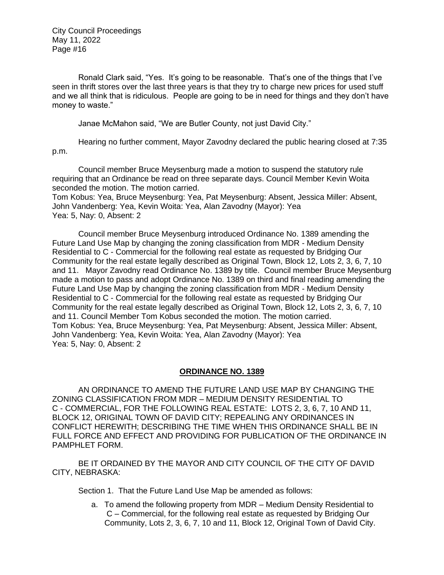Ronald Clark said, "Yes. It's going to be reasonable. That's one of the things that I've seen in thrift stores over the last three years is that they try to charge new prices for used stuff and we all think that is ridiculous. People are going to be in need for things and they don't have money to waste."

Janae McMahon said, "We are Butler County, not just David City."

Hearing no further comment, Mayor Zavodny declared the public hearing closed at 7:35 p.m.

Council member Bruce Meysenburg made a motion to suspend the statutory rule requiring that an Ordinance be read on three separate days. Council Member Kevin Woita seconded the motion. The motion carried.

Tom Kobus: Yea, Bruce Meysenburg: Yea, Pat Meysenburg: Absent, Jessica Miller: Absent, John Vandenberg: Yea, Kevin Woita: Yea, Alan Zavodny (Mayor): Yea Yea: 5, Nay: 0, Absent: 2

Council member Bruce Meysenburg introduced Ordinance No. 1389 amending the Future Land Use Map by changing the zoning classification from MDR - Medium Density Residential to C - Commercial for the following real estate as requested by Bridging Our Community for the real estate legally described as Original Town, Block 12, Lots 2, 3, 6, 7, 10 and 11. Mayor Zavodny read Ordinance No. 1389 by title. Council member Bruce Meysenburg made a motion to pass and adopt Ordinance No. 1389 on third and final reading amending the Future Land Use Map by changing the zoning classification from MDR - Medium Density Residential to C - Commercial for the following real estate as requested by Bridging Our Community for the real estate legally described as Original Town, Block 12, Lots 2, 3, 6, 7, 10 and 11. Council Member Tom Kobus seconded the motion. The motion carried. Tom Kobus: Yea, Bruce Meysenburg: Yea, Pat Meysenburg: Absent, Jessica Miller: Absent, John Vandenberg: Yea, Kevin Woita: Yea, Alan Zavodny (Mayor): Yea Yea: 5, Nay: 0, Absent: 2

#### **ORDINANCE NO. 1389**

AN ORDINANCE TO AMEND THE FUTURE LAND USE MAP BY CHANGING THE ZONING CLASSIFICATION FROM MDR – MEDIUM DENSITY RESIDENTIAL TO C - COMMERCIAL, FOR THE FOLLOWING REAL ESTATE: LOTS 2, 3, 6, 7, 10 AND 11, BLOCK 12, ORIGINAL TOWN OF DAVID CITY; REPEALING ANY ORDINANCES IN CONFLICT HEREWITH; DESCRIBING THE TIME WHEN THIS ORDINANCE SHALL BE IN FULL FORCE AND EFFECT AND PROVIDING FOR PUBLICATION OF THE ORDINANCE IN PAMPHLET FORM.

BE IT ORDAINED BY THE MAYOR AND CITY COUNCIL OF THE CITY OF DAVID CITY, NEBRASKA:

Section 1. That the Future Land Use Map be amended as follows:

a. To amend the following property from MDR – Medium Density Residential to C – Commercial, for the following real estate as requested by Bridging Our Community, Lots 2, 3, 6, 7, 10 and 11, Block 12, Original Town of David City.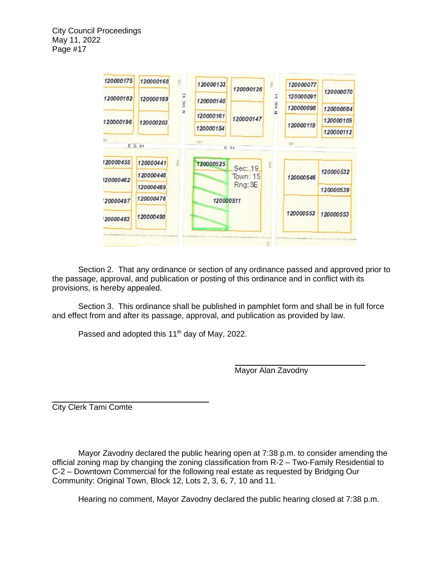

Section 2. That any ordinance or section of any ordinance passed and approved prior to the passage, approval, and publication or posting of this ordinance and in conflict with its provisions, is hereby appealed.

 Section 3. This ordinance shall be published in pamphlet form and shall be in full force and effect from and after its passage, approval, and publication as provided by law.

Passed and adopted this 11<sup>th</sup> day of May, 2022.

Mayor Alan Zavodny

City Clerk Tami Comte

Mayor Zavodny declared the public hearing open at 7:38 p.m. to consider amending the official zoning map by changing the zoning classification from R-2 – Two-Family Residential to C-2 – Downtown Commercial for the following real estate as requested by Bridging Our Community: Original Town, Block 12, Lots 2, 3, 6, 7, 10 and 11.

Hearing no comment, Mayor Zavodny declared the public hearing closed at 7:38 p.m.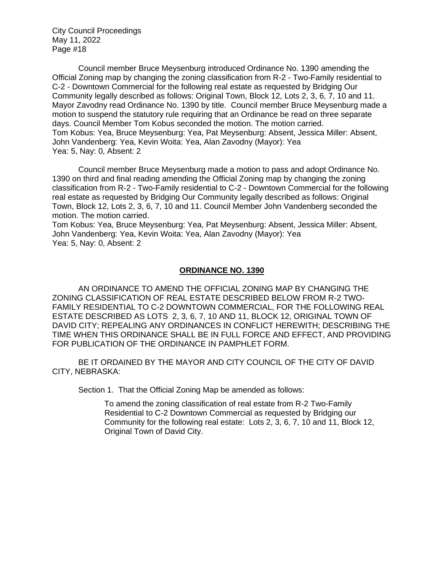Council member Bruce Meysenburg introduced Ordinance No. 1390 amending the Official Zoning map by changing the zoning classification from R-2 - Two-Family residential to C-2 - Downtown Commercial for the following real estate as requested by Bridging Our Community legally described as follows: Original Town, Block 12, Lots 2, 3, 6, 7, 10 and 11. Mayor Zavodny read Ordinance No. 1390 by title. Council member Bruce Meysenburg made a motion to suspend the statutory rule requiring that an Ordinance be read on three separate days. Council Member Tom Kobus seconded the motion. The motion carried. Tom Kobus: Yea, Bruce Meysenburg: Yea, Pat Meysenburg: Absent, Jessica Miller: Absent, John Vandenberg: Yea, Kevin Woita: Yea, Alan Zavodny (Mayor): Yea Yea: 5, Nay: 0, Absent: 2

Council member Bruce Meysenburg made a motion to pass and adopt Ordinance No. 1390 on third and final reading amending the Official Zoning map by changing the zoning classification from R-2 - Two-Family residential to C-2 - Downtown Commercial for the following real estate as requested by Bridging Our Community legally described as follows: Original Town, Block 12, Lots 2, 3, 6, 7, 10 and 11. Council Member John Vandenberg seconded the motion. The motion carried.

Tom Kobus: Yea, Bruce Meysenburg: Yea, Pat Meysenburg: Absent, Jessica Miller: Absent, John Vandenberg: Yea, Kevin Woita: Yea, Alan Zavodny (Mayor): Yea Yea: 5, Nay: 0, Absent: 2

#### **ORDINANCE NO. 1390**

AN ORDINANCE TO AMEND THE OFFICIAL ZONING MAP BY CHANGING THE ZONING CLASSIFICATION OF REAL ESTATE DESCRIBED BELOW FROM R-2 TWO-FAMILY RESIDENTIAL TO C-2 DOWNTOWN COMMERCIAL, FOR THE FOLLOWING REAL ESTATE DESCRIBED AS LOTS 2, 3, 6, 7, 10 AND 11, BLOCK 12, ORIGINAL TOWN OF DAVID CITY; REPEALING ANY ORDINANCES IN CONFLICT HEREWITH; DESCRIBING THE TIME WHEN THIS ORDINANCE SHALL BE IN FULL FORCE AND EFFECT, AND PROVIDING FOR PUBLICATION OF THE ORDINANCE IN PAMPHLET FORM.

BE IT ORDAINED BY THE MAYOR AND CITY COUNCIL OF THE CITY OF DAVID CITY, NEBRASKA:

Section 1. That the Official Zoning Map be amended as follows:

To amend the zoning classification of real estate from R-2 Two-Family Residential to C-2 Downtown Commercial as requested by Bridging our Community for the following real estate: Lots 2, 3, 6, 7, 10 and 11, Block 12, Original Town of David City.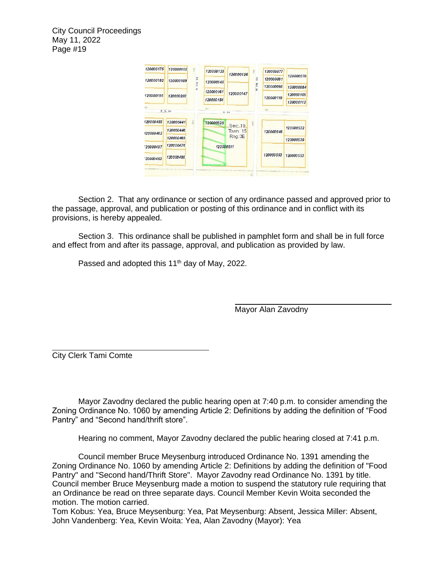

Section 2. That any ordinance or section of any ordinance passed and approved prior to the passage, approval, and publication or posting of this ordinance and in conflict with its provisions, is hereby appealed.

 Section 3. This ordinance shall be published in pamphlet form and shall be in full force and effect from and after its passage, approval, and publication as provided by law.

Passed and adopted this 11<sup>th</sup> day of May, 2022.

Mayor Alan Zavodny

City Clerk Tami Comte

Mayor Zavodny declared the public hearing open at 7:40 p.m. to consider amending the Zoning Ordinance No. 1060 by amending Article 2: Definitions by adding the definition of "Food Pantry" and "Second hand/thrift store".

Hearing no comment, Mayor Zavodny declared the public hearing closed at 7:41 p.m.

Council member Bruce Meysenburg introduced Ordinance No. 1391 amending the Zoning Ordinance No. 1060 by amending Article 2: Definitions by adding the definition of "Food Pantry" and "Second hand/Thrift Store". Mayor Zavodny read Ordinance No. 1391 by title. Council member Bruce Meysenburg made a motion to suspend the statutory rule requiring that an Ordinance be read on three separate days. Council Member Kevin Woita seconded the motion. The motion carried.

Tom Kobus: Yea, Bruce Meysenburg: Yea, Pat Meysenburg: Absent, Jessica Miller: Absent, John Vandenberg: Yea, Kevin Woita: Yea, Alan Zavodny (Mayor): Yea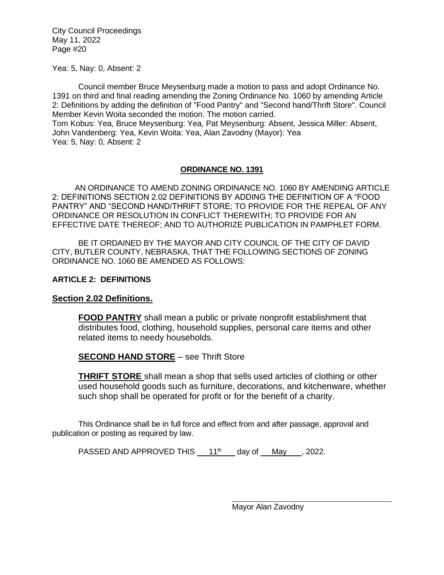Yea: 5, Nay: 0, Absent: 2

Council member Bruce Meysenburg made a motion to pass and adopt Ordinance No. 1391 on third and final reading amending the Zoning Ordinance No. 1060 by amending Article 2: Definitions by adding the definition of "Food Pantry" and "Second hand/Thrift Store". Council Member Kevin Woita seconded the motion. The motion carried.

Tom Kobus: Yea, Bruce Meysenburg: Yea, Pat Meysenburg: Absent, Jessica Miller: Absent, John Vandenberg: Yea, Kevin Woita: Yea, Alan Zavodny (Mayor): Yea Yea: 5, Nay: 0, Absent: 2

# **ORDINANCE NO. 1391**

AN ORDINANCE TO AMEND ZONING ORDINANCE NO. 1060 BY AMENDING ARTICLE 2: DEFINITIONS SECTION 2.02 DEFINITIONS BY ADDING THE DEFINITION OF A "FOOD PANTRY" AND "SECOND HAND/THRIFT STORE; TO PROVIDE FOR THE REPEAL OF ANY ORDINANCE OR RESOLUTION IN CONFLICT THEREWITH; TO PROVIDE FOR AN EFFECTIVE DATE THEREOF; AND TO AUTHORIZE PUBLICATION IN PAMPHLET FORM.

BE IT ORDAINED BY THE MAYOR AND CITY COUNCIL OF THE CITY OF DAVID CITY, BUTLER COUNTY, NEBRASKA, THAT THE FOLLOWING SECTIONS OF ZONING ORDINANCE NO. 1060 BE AMENDED AS FOLLOWS:

# **ARTICLE 2: DEFINITIONS**

# **Section 2.02 Definitions.**

**FOOD PANTRY** shall mean a public or private nonprofit establishment that distributes food, clothing, household supplies, personal care items and other related items to needy households.

# **SECOND HAND STORE** – see Thrift Store

**THRIFT STORE** shall mean a shop that sells used articles of clothing or other used household goods such as furniture, decorations, and kitchenware, whether such shop shall be operated for profit or for the benefit of a charity.

This Ordinance shall be in full force and effect from and after passage, approval and publication or posting as required by law.

PASSED AND APPROVED THIS  $11<sup>th</sup>$  day of May , 2022.

Mayor Alan Zavodny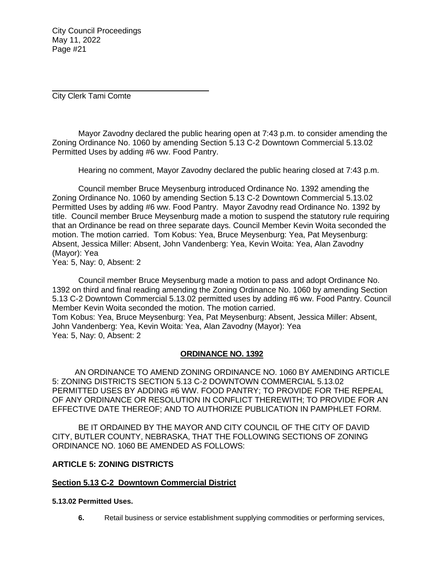City Clerk Tami Comte

Mayor Zavodny declared the public hearing open at 7:43 p.m. to consider amending the Zoning Ordinance No. 1060 by amending Section 5.13 C-2 Downtown Commercial 5.13.02 Permitted Uses by adding #6 ww. Food Pantry.

Hearing no comment, Mayor Zavodny declared the public hearing closed at 7:43 p.m.

Council member Bruce Meysenburg introduced Ordinance No. 1392 amending the Zoning Ordinance No. 1060 by amending Section 5.13 C-2 Downtown Commercial 5.13.02 Permitted Uses by adding #6 ww. Food Pantry. Mayor Zavodny read Ordinance No. 1392 by title. Council member Bruce Meysenburg made a motion to suspend the statutory rule requiring that an Ordinance be read on three separate days. Council Member Kevin Woita seconded the motion. The motion carried. Tom Kobus: Yea, Bruce Meysenburg: Yea, Pat Meysenburg: Absent, Jessica Miller: Absent, John Vandenberg: Yea, Kevin Woita: Yea, Alan Zavodny (Mayor): Yea

Yea: 5, Nay: 0, Absent: 2

Council member Bruce Meysenburg made a motion to pass and adopt Ordinance No. 1392 on third and final reading amending the Zoning Ordinance No. 1060 by amending Section 5.13 C-2 Downtown Commercial 5.13.02 permitted uses by adding #6 ww. Food Pantry. Council Member Kevin Woita seconded the motion. The motion carried. Tom Kobus: Yea, Bruce Meysenburg: Yea, Pat Meysenburg: Absent, Jessica Miller: Absent,

John Vandenberg: Yea, Kevin Woita: Yea, Alan Zavodny (Mayor): Yea Yea: 5, Nay: 0, Absent: 2

# **ORDINANCE NO. 1392**

AN ORDINANCE TO AMEND ZONING ORDINANCE NO. 1060 BY AMENDING ARTICLE 5: ZONING DISTRICTS SECTION 5.13 C-2 DOWNTOWN COMMERCIAL 5.13.02 PERMITTED USES BY ADDING #6 WW. FOOD PANTRY; TO PROVIDE FOR THE REPEAL OF ANY ORDINANCE OR RESOLUTION IN CONFLICT THEREWITH; TO PROVIDE FOR AN EFFECTIVE DATE THEREOF; AND TO AUTHORIZE PUBLICATION IN PAMPHLET FORM.

BE IT ORDAINED BY THE MAYOR AND CITY COUNCIL OF THE CITY OF DAVID CITY, BUTLER COUNTY, NEBRASKA, THAT THE FOLLOWING SECTIONS OF ZONING ORDINANCE NO. 1060 BE AMENDED AS FOLLOWS:

# **ARTICLE 5: ZONING DISTRICTS**

#### **Section 5.13 C-2 Downtown Commercial District**

#### **5.13.02 Permitted Uses.**

**6.** Retail business or service establishment supplying commodities or performing services,